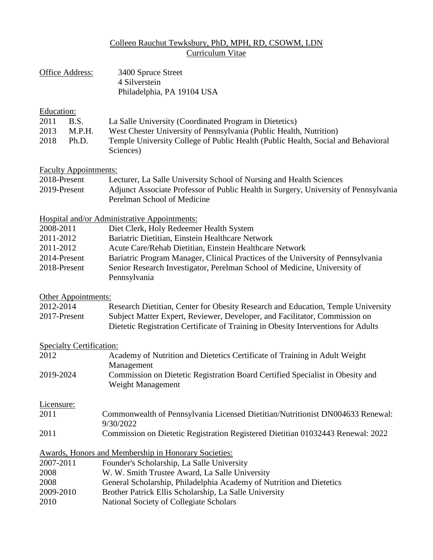## Colleen Rauchut Tewksbury, PhD, MPH, RD, CSOWM, LDN Curriculum Vitae

| <b>Office Address:</b> |                                 | 3400 Spruce Street<br>4 Silverstein                                                                                                                             |
|------------------------|---------------------------------|-----------------------------------------------------------------------------------------------------------------------------------------------------------------|
|                        |                                 | Philadelphia, PA 19104 USA                                                                                                                                      |
| Education:             |                                 |                                                                                                                                                                 |
| 2011                   | B.S.                            | La Salle University (Coordinated Program in Dietetics)                                                                                                          |
| 2013                   | M.P.H.                          | West Chester University of Pennsylvania (Public Health, Nutrition)                                                                                              |
| 2018                   | Ph.D.                           | Temple University College of Public Health (Public Health, Social and Behavioral<br>Sciences)                                                                   |
|                        | <b>Faculty Appointments:</b>    |                                                                                                                                                                 |
| 2018-Present           |                                 | Lecturer, La Salle University School of Nursing and Health Sciences                                                                                             |
| 2019-Present           |                                 | Adjunct Associate Professor of Public Health in Surgery, University of Pennsylvania<br>Perelman School of Medicine                                              |
|                        |                                 | Hospital and/or Administrative Appointments:                                                                                                                    |
| 2008-2011              |                                 | Diet Clerk, Holy Redeemer Health System                                                                                                                         |
| 2011-2012              |                                 | Bariatric Dietitian, Einstein Healthcare Network                                                                                                                |
| 2011-2012              |                                 | Acute Care/Rehab Dietitian, Einstein Healthcare Network                                                                                                         |
| 2014-Present           |                                 | Bariatric Program Manager, Clinical Practices of the University of Pennsylvania                                                                                 |
| 2018-Present           |                                 | Senior Research Investigator, Perelman School of Medicine, University of<br>Pennsylvania                                                                        |
|                        | Other Appointments:             |                                                                                                                                                                 |
| 2012-2014              |                                 | Research Dietitian, Center for Obesity Research and Education, Temple University                                                                                |
| 2017-Present           |                                 | Subject Matter Expert, Reviewer, Developer, and Facilitator, Commission on<br>Dietetic Registration Certificate of Training in Obesity Interventions for Adults |
|                        | <b>Specialty Certification:</b> |                                                                                                                                                                 |
| 2012                   |                                 | Academy of Nutrition and Dietetics Certificate of Training in Adult Weight                                                                                      |
|                        |                                 | Management                                                                                                                                                      |
| 2019-2024              |                                 | Commission on Dietetic Registration Board Certified Specialist in Obesity and<br>Weight Management                                                              |
| Licensure:             |                                 |                                                                                                                                                                 |
| 2011                   |                                 | Commonwealth of Pennsylvania Licensed Dietitian/Nutritionist DN004633 Renewal:<br>9/30/2022                                                                     |
| 2011                   |                                 | Commission on Dietetic Registration Registered Dietitian 01032443 Renewal: 2022                                                                                 |
|                        |                                 | <b>Awards, Honors and Membership in Honorary Societies:</b>                                                                                                     |
| 2007-2011              |                                 | Founder's Scholarship, La Salle University                                                                                                                      |
| 2008                   |                                 | W. W. Smith Trustee Award, La Salle University                                                                                                                  |
| 2008                   |                                 | General Scholarship, Philadelphia Academy of Nutrition and Dietetics                                                                                            |
| 2009-2010              |                                 | Brother Patrick Ellis Scholarship, La Salle University                                                                                                          |
| 2010                   |                                 | National Society of Collegiate Scholars                                                                                                                         |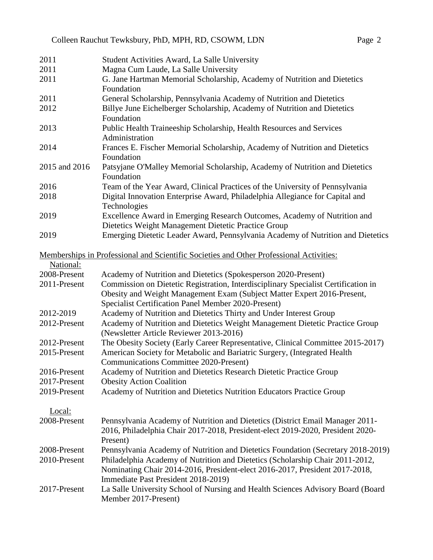| 2011          | Student Activities Award, La Salle University                                                                           |
|---------------|-------------------------------------------------------------------------------------------------------------------------|
| 2011          | Magna Cum Laude, La Salle University                                                                                    |
| 2011          | G. Jane Hartman Memorial Scholarship, Academy of Nutrition and Dietetics                                                |
|               | Foundation                                                                                                              |
| 2011          | General Scholarship, Pennsylvania Academy of Nutrition and Dietetics                                                    |
| 2012          | Billye June Eichelberger Scholarship, Academy of Nutrition and Dietetics                                                |
|               | Foundation                                                                                                              |
| 2013          | Public Health Traineeship Scholarship, Health Resources and Services<br>Administration                                  |
| 2014          | Frances E. Fischer Memorial Scholarship, Academy of Nutrition and Dietetics                                             |
|               | Foundation                                                                                                              |
| 2015 and 2016 | Patsyjane O'Malley Memorial Scholarship, Academy of Nutrition and Dietetics                                             |
|               | Foundation                                                                                                              |
| 2016          | Team of the Year Award, Clinical Practices of the University of Pennsylvania                                            |
| 2018          | Digital Innovation Enterprise Award, Philadelphia Allegiance for Capital and                                            |
|               | Technologies                                                                                                            |
| 2019          | Excellence Award in Emerging Research Outcomes, Academy of Nutrition and                                                |
|               | Dietetics Weight Management Dietetic Practice Group                                                                     |
| 2019          | Emerging Dietetic Leader Award, Pennsylvania Academy of Nutrition and Dietetics                                         |
|               |                                                                                                                         |
|               | Memberships in Professional and Scientific Societies and Other Professional Activities:                                 |
| National:     |                                                                                                                         |
| 2008-Present  | Academy of Nutrition and Dietetics (Spokesperson 2020-Present)                                                          |
| 2011-Present  | Commission on Dietetic Registration, Interdisciplinary Specialist Certification in                                      |
|               | Obesity and Weight Management Exam (Subject Matter Expert 2016-Present,                                                 |
|               | Specialist Certification Panel Member 2020-Present)                                                                     |
|               |                                                                                                                         |
| 2012-2019     | Academy of Nutrition and Dietetics Thirty and Under Interest Group                                                      |
| 2012-Present  | Academy of Nutrition and Dietetics Weight Management Dietetic Practice Group<br>(Newsletter Article Reviewer 2013-2016) |
| 2012-Present  | The Obesity Society (Early Career Representative, Clinical Committee 2015-2017)                                         |
| 2015-Present  | American Society for Metabolic and Bariatric Surgery, (Integrated Health                                                |
|               |                                                                                                                         |
|               | Communications Committee 2020-Present)                                                                                  |
| 2016-Present  | Academy of Nutrition and Dietetics Research Dietetic Practice Group                                                     |
| 2017-Present  | <b>Obesity Action Coalition</b>                                                                                         |
| 2019-Present  | Academy of Nutrition and Dietetics Nutrition Educators Practice Group                                                   |
| Local:        |                                                                                                                         |
| 2008-Present  |                                                                                                                         |
|               | Pennsylvania Academy of Nutrition and Dietetics (District Email Manager 2011-                                           |
|               | 2016, Philadelphia Chair 2017-2018, President-elect 2019-2020, President 2020-                                          |
|               | Present)                                                                                                                |
| 2008-Present  | Pennsylvania Academy of Nutrition and Dietetics Foundation (Secretary 2018-2019)                                        |
| 2010-Present  | Philadelphia Academy of Nutrition and Dietetics (Scholarship Chair 2011-2012,                                           |
|               | Nominating Chair 2014-2016, President-elect 2016-2017, President 2017-2018,                                             |
|               | Immediate Past President 2018-2019)                                                                                     |
| 2017-Present  | La Salle University School of Nursing and Health Sciences Advisory Board (Board                                         |
|               | Member 2017-Present)                                                                                                    |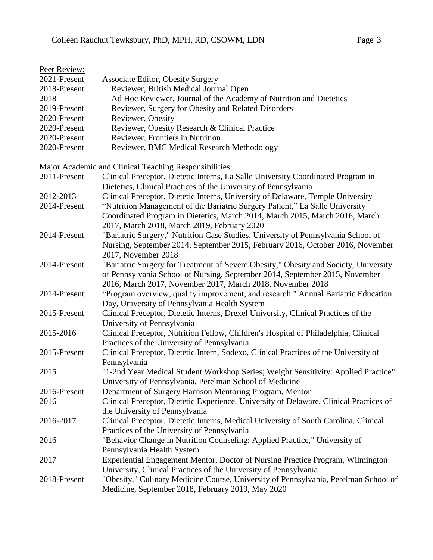| Peer Review: |                                                                                        |
|--------------|----------------------------------------------------------------------------------------|
| 2021-Present | <b>Associate Editor, Obesity Surgery</b>                                               |
| 2018-Present | Reviewer, British Medical Journal Open                                                 |
| 2018         | Ad Hoc Reviewer, Journal of the Academy of Nutrition and Dietetics                     |
| 2019-Present | Reviewer, Surgery for Obesity and Related Disorders                                    |
| 2020-Present | Reviewer, Obesity                                                                      |
| 2020-Present | Reviewer, Obesity Research & Clinical Practice                                         |
| 2020-Present | Reviewer, Frontiers in Nutrition                                                       |
| 2020-Present | Reviewer, BMC Medical Research Methodology                                             |
|              | Major Academic and Clinical Teaching Responsibilities:                                 |
| 2011-Present | Clinical Preceptor, Dietetic Interns, La Salle University Coordinated Program in       |
|              | Dietetics, Clinical Practices of the University of Pennsylvania                        |
| 2012-2013    | Clinical Preceptor, Dietetic Interns, University of Delaware, Temple University        |
| 2014-Present | "Nutrition Management of the Bariatric Surgery Patient," La Salle University           |
|              | Coordinated Program in Dietetics, March 2014, March 2015, March 2016, March            |
|              | 2017, March 2018, March 2019, February 2020                                            |
| 2014-Present | "Bariatric Surgery," Nutrition Case Studies, University of Pennsylvania School of      |
|              | Nursing, September 2014, September 2015, February 2016, October 2016, November         |
|              | 2017, November 2018                                                                    |
| 2014-Present | "Bariatric Surgery for Treatment of Severe Obesity," Obesity and Society, University   |
|              | of Pennsylvania School of Nursing, September 2014, September 2015, November            |
|              | 2016, March 2017, November 2017, March 2018, November 2018                             |
| 2014-Present | "Program overview, quality improvement, and research." Annual Bariatric Education      |
|              | Day, University of Pennsylvania Health System                                          |
| 2015-Present | Clinical Preceptor, Dietetic Interns, Drexel University, Clinical Practices of the     |
|              | University of Pennsylvania                                                             |
| 2015-2016    | Clinical Preceptor, Nutrition Fellow, Children's Hospital of Philadelphia, Clinical    |
|              | Practices of the University of Pennsylvania                                            |
| 2015-Present | Clinical Preceptor, Dietetic Intern, Sodexo, Clinical Practices of the University of   |
|              | Pennsylvania                                                                           |
| 2015         | "1-2nd Year Medical Student Workshop Series; Weight Sensitivity: Applied Practice"     |
|              | University of Pennsylvania, Perelman School of Medicine                                |
| 2016-Present | Department of Surgery Harrison Mentoring Program, Mentor                               |
| 2016         | Clinical Preceptor, Dietetic Experience, University of Delaware, Clinical Practices of |
|              | the University of Pennsylvania                                                         |
| 2016-2017    | Clinical Preceptor, Dietetic Interns, Medical University of South Carolina, Clinical   |
|              | Practices of the University of Pennsylvania                                            |
| 2016         | "Behavior Change in Nutrition Counseling: Applied Practice," University of             |
|              | Pennsylvania Health System                                                             |
| 2017         | Experiential Engagement Mentor, Doctor of Nursing Practice Program, Wilmington         |
|              | University, Clinical Practices of the University of Pennsylvania                       |
| 2018-Present | "Obesity," Culinary Medicine Course, University of Pennsylvania, Perelman School of    |
|              | Medicine, September 2018, February 2019, May 2020                                      |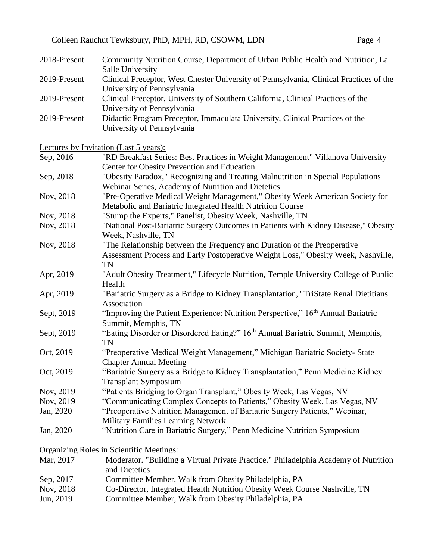| 2018-Present                 | Community Nutrition Course, Department of Urban Public Health and Nutrition, La<br>Salle University |
|------------------------------|-----------------------------------------------------------------------------------------------------|
| 2019-Present                 | Clinical Preceptor, West Chester University of Pennsylvania, Clinical Practices of the              |
|                              | University of Pennsylvania                                                                          |
| 2019-Present                 | Clinical Preceptor, University of Southern California, Clinical Practices of the                    |
|                              | University of Pennsylvania                                                                          |
| 2019-Present                 | Didactic Program Preceptor, Immaculata University, Clinical Practices of the                        |
|                              | University of Pennsylvania                                                                          |
|                              | Lectures by Invitation (Last 5 years):                                                              |
| Sep, 2016                    | "RD Breakfast Series: Best Practices in Weight Management" Villanova University                     |
|                              | Center for Obesity Prevention and Education                                                         |
| Sep, 2018                    | "Obesity Paradox," Recognizing and Treating Malnutrition in Special Populations                     |
|                              | Webinar Series, Academy of Nutrition and Dietetics                                                  |
| Nov, 2018                    | "Pre-Operative Medical Weight Management," Obesity Week American Society for                        |
|                              | Metabolic and Bariatric Integrated Health Nutrition Course                                          |
| Nov, 2018                    | "Stump the Experts," Panelist, Obesity Week, Nashville, TN                                          |
| Nov, 2018                    | "National Post-Bariatric Surgery Outcomes in Patients with Kidney Disease," Obesity                 |
|                              | Week, Nashville, TN                                                                                 |
| Nov, 2018                    | "The Relationship between the Frequency and Duration of the Preoperative                            |
|                              | Assessment Process and Early Postoperative Weight Loss," Obesity Week, Nashville,                   |
|                              | <b>TN</b>                                                                                           |
| Apr, 2019                    | "Adult Obesity Treatment," Lifecycle Nutrition, Temple University College of Public                 |
|                              | Health                                                                                              |
| Apr, 2019                    | "Bariatric Surgery as a Bridge to Kidney Transplantation," TriState Renal Dietitians                |
|                              | Association                                                                                         |
| Sept, 2019                   | "Improving the Patient Experience: Nutrition Perspective," 16 <sup>th</sup> Annual Bariatric        |
|                              | Summit, Memphis, TN                                                                                 |
| Sept, 2019                   | "Eating Disorder or Disordered Eating?" 16th Annual Bariatric Summit, Memphis,                      |
|                              | TN                                                                                                  |
| Oct, 2019                    | "Preoperative Medical Weight Management," Michigan Bariatric Society- State                         |
|                              | <b>Chapter Annual Meeting</b>                                                                       |
| Oct, 2019                    | "Bariatric Surgery as a Bridge to Kidney Transplantation," Penn Medicine Kidney                     |
|                              | <b>Transplant Symposium</b>                                                                         |
| Nov, 2019                    | "Patients Bridging to Organ Transplant," Obesity Week, Las Vegas, NV                                |
| Nov, 2019                    | "Communicating Complex Concepts to Patients," Obesity Week, Las Vegas, NV                           |
| Jan, 2020                    | "Preoperative Nutrition Management of Bariatric Surgery Patients," Webinar,                         |
|                              | Military Families Learning Network                                                                  |
| Jan, 2020                    | "Nutrition Care in Bariatric Surgery," Penn Medicine Nutrition Symposium                            |
|                              | <b>Organizing Roles in Scientific Meetings:</b>                                                     |
| Mar, 2017                    | Moderator. "Building a Virtual Private Practice." Philadelphia Academy of Nutrition                 |
|                              | and Dietetics                                                                                       |
| Sep, 2017                    | Committee Member, Walk from Obesity Philadelphia, PA                                                |
| $\overline{\text{Now}}$ 2018 | Co-Director Integrated Health Nutrition Obesity Week Course Nashville TN                            |

Nov, 2018 Co-Director, Integrated Health Nutrition Obesity Week Course Nashville, TN<br>Jun, 2019 Committee Member, Walk from Obesity Philadelphia, PA Committee Member, Walk from Obesity Philadelphia, PA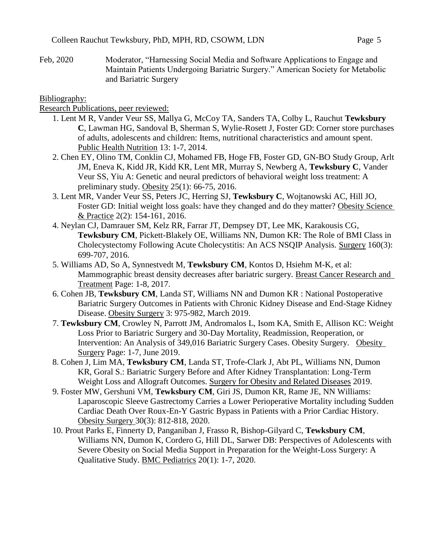- 
- Feb, 2020 Moderator, "Harnessing Social Media and Software Applications to Engage and Maintain Patients Undergoing Bariatric Surgery." American Society for Metabolic and Bariatric Surgery

Bibliography:

Research Publications, peer reviewed:

- 1. Lent M R, Vander Veur SS, Mallya G, McCoy TA, Sanders TA, Colby L, Rauchut **Tewksbury C**, Lawman HG, Sandoval B, Sherman S, Wylie-Rosett J, Foster GD: Corner store purchases of adults, adolescents and children: Items, nutritional characteristics and amount spent. Public Health Nutrition 13: 1-7, 2014.
- 2. Chen EY, Olino TM, Conklin CJ, Mohamed FB, Hoge FB, Foster GD, GN-BO Study Group, Arlt JM, Eneva K, Kidd JR, Kidd KR, Lent MR, Murray S, Newberg A, **Tewksbury C**, Vander Veur SS, Yiu A: Genetic and neural predictors of behavioral weight loss treatment: A preliminary study. Obesity 25(1): 66-75, 2016.
- 3. Lent MR, Vander Veur SS, Peters JC, Herring SJ, **Tewksbury C**, Wojtanowski AC, Hill JO, Foster GD: Initial weight loss goals: have they changed and do they matter? Obesity Science & Practice 2(2): 154-161, 2016.
- 4. Neylan CJ, Damrauer SM, Kelz RR, Farrar JT, Dempsey DT, Lee MK, Karakousis CG, **Tewksbury CM**, Pickett-Blakely OE, Williams NN, Dumon KR: The Role of BMI Class in Cholecystectomy Following Acute Cholecystitis: An ACS NSQIP Analysis. Surgery 160(3): 699-707, 2016.
- 5. Williams AD, So A, Synnestvedt M, **Tewksbury CM**, Kontos D, Hsiehm M-K, et al: Mammographic breast density decreases after bariatric surgery. Breast Cancer Research and Treatment Page: 1-8, 2017.
- 6. Cohen JB, **Tewksbury CM**, Landa ST, Williams NN and Dumon KR : National Postoperative Bariatric Surgery Outcomes in Patients with Chronic Kidney Disease and End-Stage Kidney Disease. Obesity Surgery 3: 975-982, March 2019.
- 7. **Tewksbury CM**, Crowley N, Parrott JM, Andromalos L, Isom KA, Smith E, Allison KC: Weight Loss Prior to Bariatric Surgery and 30-Day Mortality, Readmission, Reoperation, or Intervention: An Analysis of 349,016 Bariatric Surgery Cases. Obesity Surgery. Obesity Surgery Page: 1-7, June 2019.
- 8. Cohen J, Lim MA, **Tewksbury CM**, Landa ST, Trofe-Clark J, Abt PL, Williams NN, Dumon KR, Goral S.: Bariatric Surgery Before and After Kidney Transplantation: Long-Term Weight Loss and Allograft Outcomes. Surgery for Obesity and Related Diseases 2019.
- 9. Foster MW, Gershuni VM, **Tewksbury CM**, Giri JS, Dumon KR, Rame JE, NN Williams: Laparoscopic Sleeve Gastrectomy Carries a Lower Perioperative Mortality including Sudden Cardiac Death Over Roux-En-Y Gastric Bypass in Patients with a Prior Cardiac History. Obesity Surgery 30(3): 812-818, 2020.
- 10. Prout Parks E, Finnerty D, Panganiban J, Frasso R, Bishop-Gilyard C, **Tewksbury CM**, Williams NN, Dumon K, Cordero G, Hill DL, Sarwer DB: Perspectives of Adolescents with Severe Obesity on Social Media Support in Preparation for the Weight-Loss Surgery: A Qualitative Study. BMC Pediatrics 20(1): 1-7, 2020.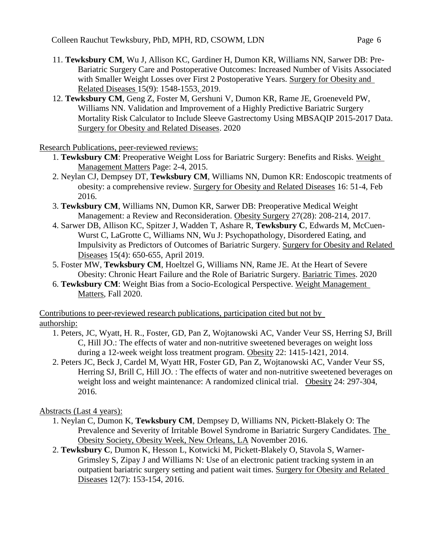- 
- 11. **Tewksbury CM**, Wu J, Allison KC, Gardiner H, Dumon KR, Williams NN, Sarwer DB: Pre-Bariatric Surgery Care and Postoperative Outcomes: Increased Number of Visits Associated with Smaller Weight Losses over First 2 Postoperative Years. Surgery for Obesity and Related Diseases 15(9): 1548-1553, 2019.
- 12. **Tewksbury CM**, Geng Z, Foster M, Gershuni V, Dumon KR, Rame JE, Groeneveld PW, Williams NN. Validation and Improvement of a Highly Predictive Bariatric Surgery Mortality Risk Calculator to Include Sleeve Gastrectomy Using MBSAQIP 2015-2017 Data. Surgery for Obesity and Related Diseases. 2020

## Research Publications, peer-reviewed reviews:

- 1. **Tewksbury CM**: Preoperative Weight Loss for Bariatric Surgery: Benefits and Risks. Weight Management Matters Page: 2-4, 2015.
- 2. Neylan CJ, Dempsey DT, **Tewksbury CM**, Williams NN, Dumon KR: Endoscopic treatments of obesity: a comprehensive review. Surgery for Obesity and Related Diseases 16: 51-4, Feb 2016.
- 3. **Tewksbury CM**, Williams NN, Dumon KR, Sarwer DB: Preoperative Medical Weight Management: a Review and Reconsideration. Obesity Surgery 27(28): 208-214, 2017.
- 4. Sarwer DB, Allison KC, Spitzer J, Wadden T, Ashare R, **Tewksbury C**, Edwards M, McCuen-Wurst C, LaGrotte C, Williams NN, Wu J: Psychopathology, Disordered Eating, and Impulsivity as Predictors of Outcomes of Bariatric Surgery. Surgery for Obesity and Related Diseases 15(4): 650-655, April 2019.
- 5. Foster MW, **Tewksbury CM**, Hoeltzel G, Williams NN, Rame JE. At the Heart of Severe Obesity: Chronic Heart Failure and the Role of Bariatric Surgery. Bariatric Times. 2020
- 6. **Tewksbury CM**: Weight Bias from a Socio-Ecological Perspective. Weight Management Matters, Fall 2020.

Contributions to peer-reviewed research publications, participation cited but not by authorship:

- 1. Peters, JC, Wyatt, H. R., Foster, GD, Pan Z, Wojtanowski AC, Vander Veur SS, Herring SJ, Brill C, Hill JO.: The effects of water and non-nutritive sweetened beverages on weight loss during a 12-week weight loss treatment program. Obesity 22: 1415-1421, 2014.
- 2. Peters JC, Beck J, Cardel M, Wyatt HR, Foster GD, Pan Z, Wojtanowski AC, Vander Veur SS, Herring SJ, Brill C, Hill JO. : The effects of water and non-nutritive sweetened beverages on weight loss and weight maintenance: A randomized clinical trial. Obesity 24: 297-304, 2016.

## Abstracts (Last 4 years):

- 1. Neylan C, Dumon K, **Tewksbury CM**, Dempsey D, Williams NN, Pickett-Blakely O: The Prevalence and Severity of Irritable Bowel Syndrome in Bariatric Surgery Candidates. The Obesity Society, Obesity Week, New Orleans, LA November 2016.
- 2. **Tewksbury C**, Dumon K, Hesson L, Kotwicki M, Pickett-Blakely O, Stavola S, Warner-Grimsley S, Zipay J and Williams N: Use of an electronic patient tracking system in an outpatient bariatric surgery setting and patient wait times. Surgery for Obesity and Related Diseases 12(7): 153-154, 2016.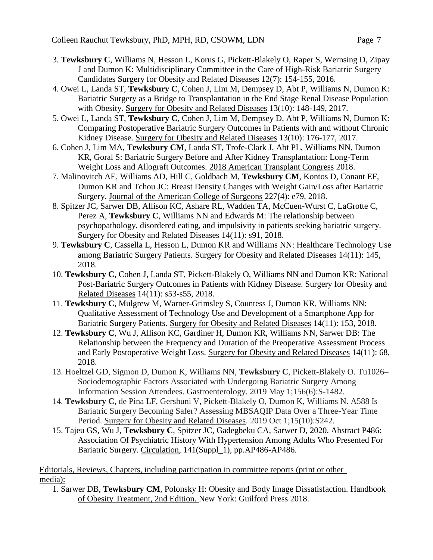- 3. **Tewksbury C**, Williams N, Hesson L, Korus G, Pickett-Blakely O, Raper S, Wernsing D, Zipay J and Dumon K: Multidisciplinary Committee in the Care of High-Risk Bariatric Surgery Candidates Surgery for Obesity and Related Diseases 12(7): 154-155, 2016.
- 4. Owei L, Landa ST, **Tewksbury C**, Cohen J, Lim M, Dempsey D, Abt P, Williams N, Dumon K: Bariatric Surgery as a Bridge to Transplantation in the End Stage Renal Disease Population with Obesity. Surgery for Obesity and Related Diseases 13(10): 148-149, 2017.
- 5. Owei L, Landa ST, **Tewksbury C**, Cohen J, Lim M, Dempsey D, Abt P, Williams N, Dumon K: Comparing Postoperative Bariatric Surgery Outcomes in Patients with and without Chronic Kidney Disease. Surgery for Obesity and Related Diseases 13(10): 176-177, 2017.
- 6. Cohen J, Lim MA, **Tewksbury CM**, Landa ST, Trofe-Clark J, Abt PL, Williams NN, Dumon KR, Goral S: Bariatric Surgery Before and After Kidney Transplantation: Long-Term Weight Loss and Allograft Outcomes. 2018 American Transplant Congress 2018.
- 7. Malinovitch AE, Williams AD, Hill C, Goldbach M, **Tewksbury CM**, Kontos D, Conant EF, Dumon KR and Tchou JC: Breast Density Changes with Weight Gain/Loss after Bariatric Surgery. Journal of the American College of Surgeons 227(4): e79, 2018.
- 8. Spitzer JC, Sarwer DB, Allison KC, Ashare RL, Wadden TA, McCuen-Wurst C, LaGrotte C, Perez A, **Tewksbury C**, Williams NN and Edwards M: The relationship between psychopathology, disordered eating, and impulsivity in patients seeking bariatric surgery. Surgery for Obesity and Related Diseases 14(11): s91, 2018.
- 9. **Tewksbury C**, Cassella L, Hesson L, Dumon KR and Williams NN: Healthcare Technology Use among Bariatric Surgery Patients. Surgery for Obesity and Related Diseases 14(11): 145, 2018.
- 10. **Tewksbury C**, Cohen J, Landa ST, Pickett-Blakely O, Williams NN and Dumon KR: National Post-Bariatric Surgery Outcomes in Patients with Kidney Disease. Surgery for Obesity and Related Diseases 14(11): s53-s55, 2018.
- 11. **Tewksbury C**, Mulgrew M, Warner-Grimsley S, Countess J, Dumon KR, Williams NN: Qualitative Assessment of Technology Use and Development of a Smartphone App for Bariatric Surgery Patients. Surgery for Obesity and Related Diseases 14(11): 153, 2018.
- 12. **Tewksbury C**, Wu J, Allison KC, Gardiner H, Dumon KR, Williams NN, Sarwer DB: The Relationship between the Frequency and Duration of the Preoperative Assessment Process and Early Postoperative Weight Loss. Surgery for Obesity and Related Diseases 14(11): 68, 2018.
- 13. Hoeltzel GD, Sigmon D, Dumon K, Williams NN, **Tewksbury C**, Pickett-Blakely O. Tu1026– Sociodemographic Factors Associated with Undergoing Bariatric Surgery Among Information Session Attendees. Gastroenterology. 2019 May 1;156(6):S-1482.
- 14. **Tewksbury C**, de Pina LF, Gershuni V, Pickett-Blakely O, Dumon K, Williams N. A588 Is Bariatric Surgery Becoming Safer? Assessing MBSAQIP Data Over a Three-Year Time Period. Surgery for Obesity and Related Diseases. 2019 Oct 1;15(10):S242.
- 15. Tajeu GS, Wu J, **Tewksbury C**, Spitzer JC, Gadegbeku CA, Sarwer D, 2020. Abstract P486: Association Of Psychiatric History With Hypertension Among Adults Who Presented For Bariatric Surgery. Circulation, 141(Suppl\_1), pp.AP486-AP486.

Editorials, Reviews, Chapters, including participation in committee reports (print or other media):

1. Sarwer DB, **Tewksbury CM**, Polonsky H: Obesity and Body Image Dissatisfaction. Handbook of Obesity Treatment, 2nd Edition. New York: Guilford Press 2018.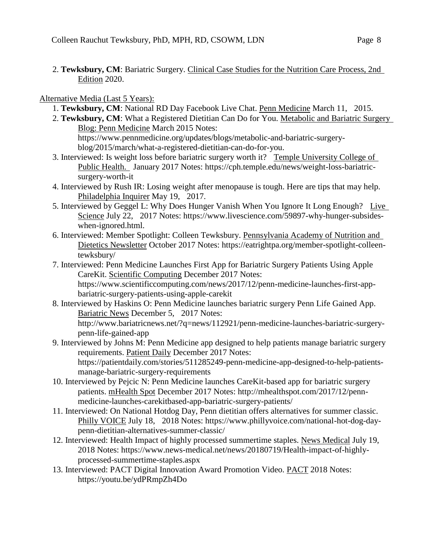2. **Tewksbury, CM**: Bariatric Surgery. Clinical Case Studies for the Nutrition Care Process, 2nd Edition 2020.

## Alternative Media (Last 5 Years):

- 1. **Tewksbury, CM**: National RD Day Facebook Live Chat. Penn Medicine March 11, 2015.
- 2. **Tewksbury, CM**: What a Registered Dietitian Can Do for You. Metabolic and Bariatric Surgery Blog: Penn Medicine March 2015 Notes: https://www.pennmedicine.org/updates/blogs/metabolic-and-bariatric-surgeryblog/2015/march/what-a-registered-dietitian-can-do-for-you.
- 3. Interviewed: Is weight loss before bariatric surgery worth it? Temple University College of Public Health. January 2017 Notes: https://cph.temple.edu/news/weight-loss-bariatricsurgery-worth-it
- 4. Interviewed by Rush IR: Losing weight after menopause is tough. Here are tips that may help. Philadelphia Inquirer May 19, 2017.
- 5. Interviewed by Geggel L: Why Does Hunger Vanish When You Ignore It Long Enough? Live Science July 22, 2017 Notes: https://www.livescience.com/59897-why-hunger-subsideswhen-ignored.html.
- 6. Interviewed: Member Spotlight: Colleen Tewksbury. Pennsylvania Academy of Nutrition and Dietetics Newsletter October 2017 Notes: https://eatrightpa.org/member-spotlight-colleentewksbury/
- 7. Interviewed: Penn Medicine Launches First App for Bariatric Surgery Patients Using Apple CareKit. Scientific Computing December 2017 Notes: https://www.scientificcomputing.com/news/2017/12/penn-medicine-launches-first-appbariatric-surgery-patients-using-apple-carekit
- 8. Interviewed by Haskins O: Penn Medicine launches bariatric surgery Penn Life Gained App. Bariatric News December 5, 2017 Notes: http://www.bariatricnews.net/?q=news/112921/penn-medicine-launches-bariatric-surgerypenn-life-gained-app
- 9. Interviewed by Johns M: Penn Medicine app designed to help patients manage bariatric surgery requirements. Patient Daily December 2017 Notes: https://patientdaily.com/stories/511285249-penn-medicine-app-designed-to-help-patientsmanage-bariatric-surgery-requirements
- 10. Interviewed by Pejcic N: Penn Medicine launches CareKit-based app for bariatric surgery patients. mHealth Spot December 2017 Notes: http://mhealthspot.com/2017/12/pennmedicine-launches-carekitbased-app-bariatric-surgery-patients/
- 11. Interviewed: On National Hotdog Day, Penn dietitian offers alternatives for summer classic. Philly VOICE July 18, 2018 Notes: https://www.phillyvoice.com/national-hot-dog-daypenn-dietitian-alternatives-summer-classic/
- 12. Interviewed: Health Impact of highly processed summertime staples. News Medical July 19, 2018 Notes: https://www.news-medical.net/news/20180719/Health-impact-of-highlyprocessed-summertime-staples.aspx
- 13. Interviewed: PACT Digital Innovation Award Promotion Video. PACT 2018 Notes: https://youtu.be/ydPRmpZh4Do